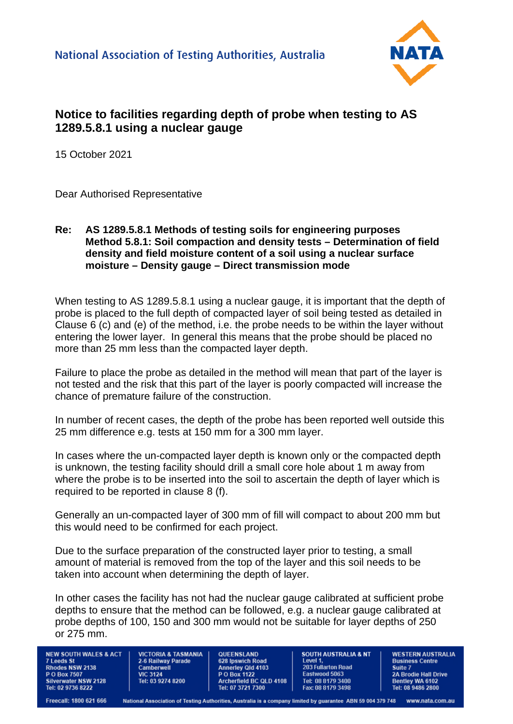

## **Notice to facilities regarding depth of probe when testing to AS 1289.5.8.1 using a nuclear gauge**

15 October 2021

Dear Authorised Representative

## **Re: AS 1289.5.8.1 Methods of testing soils for engineering purposes Method 5.8.1: Soil compaction and density tests – Determination of field density and field moisture content of a soil using a nuclear surface moisture – Density gauge – Direct transmission mode**

When testing to AS 1289.5.8.1 using a nuclear gauge, it is important that the depth of probe is placed to the full depth of compacted layer of soil being tested as detailed in Clause 6 (c) and (e) of the method, i.e. the probe needs to be within the layer without entering the lower layer. In general this means that the probe should be placed no more than 25 mm less than the compacted layer depth.

Failure to place the probe as detailed in the method will mean that part of the layer is not tested and the risk that this part of the layer is poorly compacted will increase the chance of premature failure of the construction.

In number of recent cases, the depth of the probe has been reported well outside this 25 mm difference e.g. tests at 150 mm for a 300 mm layer.

In cases where the un-compacted layer depth is known only or the compacted depth is unknown, the testing facility should drill a small core hole about 1 m away from where the probe is to be inserted into the soil to ascertain the depth of layer which is required to be reported in clause 8 (f).

Generally an un-compacted layer of 300 mm of fill will compact to about 200 mm but this would need to be confirmed for each project.

Due to the surface preparation of the constructed layer prior to testing, a small amount of material is removed from the top of the layer and this soil needs to be taken into account when determining the depth of layer.

In other cases the facility has not had the nuclear gauge calibrated at sufficient probe depths to ensure that the method can be followed, e.g. a nuclear gauge calibrated at probe depths of 100, 150 and 300 mm would not be suitable for layer depths of 250 or 275 mm.

**NEW SOUTH WALES & ACT 7 Leeds St** Rhodes NSW 2138 P O Box 7507 **Silverwater NSW 2128** Tel: 02 9736 8222

**VICTORIA & TASMANIA** 2-6 Railway Parade Camberwell **VIC 3124** Tel: 03 9274 8200

QUEENSLAND 628 Ipswich Road Annerley Qld 4103<br>P O Box 1122<br>Archerfield BC QLD 4108 Tel: 07 3721 7300

**SOUTH AUSTRALIA & NT** Level 1 **203 Fullarton Road** Eastwood 5063 Tel: 08 8179 3400 Fax: 08 8179 3498

**WESTERN AUSTRALIA Business Centre** Suite 7 2A Brodie Hall Drive<br>Bentley WA 6102<br>Tel: 08 9486 2800

Freecall: 1800 621 666